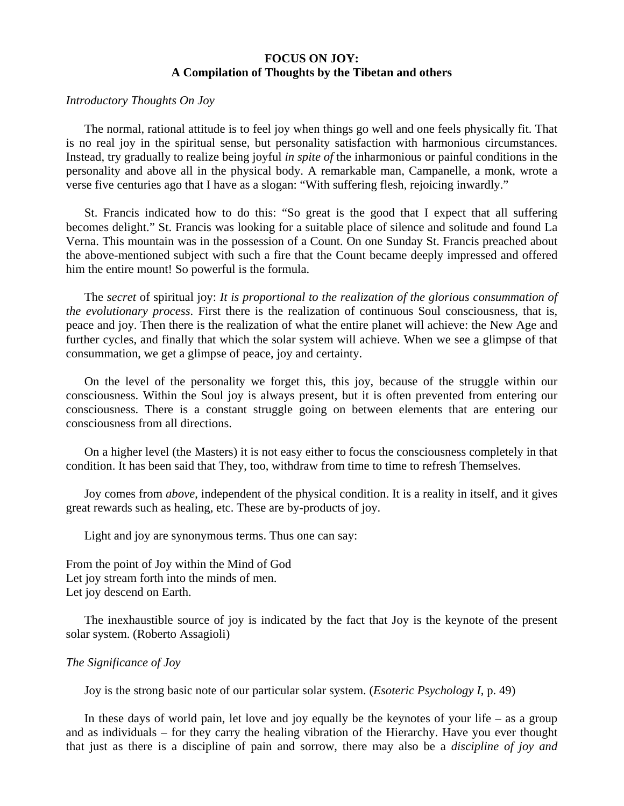## **FOCUS ON JOY: A Compilation of Thoughts by the Tibetan and others**

## *Introductory Thoughts On Joy*

 The normal, rational attitude is to feel joy when things go well and one feels physically fit. That is no real joy in the spiritual sense, but personality satisfaction with harmonious circumstances. Instead, try gradually to realize being joyful *in spite of* the inharmonious or painful conditions in the personality and above all in the physical body. A remarkable man, Campanelle, a monk, wrote a verse five centuries ago that I have as a slogan: "With suffering flesh, rejoicing inwardly."

 St. Francis indicated how to do this: "So great is the good that I expect that all suffering becomes delight." St. Francis was looking for a suitable place of silence and solitude and found La Verna. This mountain was in the possession of a Count. On one Sunday St. Francis preached about the above-mentioned subject with such a fire that the Count became deeply impressed and offered him the entire mount! So powerful is the formula.

 The *secret* of spiritual joy: *It is proportional to the realization of the glorious consummation of the evolutionary process*. First there is the realization of continuous Soul consciousness, that is, peace and joy. Then there is the realization of what the entire planet will achieve: the New Age and further cycles, and finally that which the solar system will achieve. When we see a glimpse of that consummation, we get a glimpse of peace, joy and certainty.

 On the level of the personality we forget this, this joy, because of the struggle within our consciousness. Within the Soul joy is always present, but it is often prevented from entering our consciousness. There is a constant struggle going on between elements that are entering our consciousness from all directions.

 On a higher level (the Masters) it is not easy either to focus the consciousness completely in that condition. It has been said that They, too, withdraw from time to time to refresh Themselves.

 Joy comes from *above*, independent of the physical condition. It is a reality in itself, and it gives great rewards such as healing, etc. These are by-products of joy.

Light and joy are synonymous terms. Thus one can say:

From the point of Joy within the Mind of God Let joy stream forth into the minds of men. Let joy descend on Earth.

 The inexhaustible source of joy is indicated by the fact that Joy is the keynote of the present solar system. (Roberto Assagioli)

## *The Significance of Joy*

Joy is the strong basic note of our particular solar system. (*Esoteric Psychology I*, p. 49)

In these days of world pain, let love and joy equally be the keynotes of your life – as a group and as individuals – for they carry the healing vibration of the Hierarchy. Have you ever thought that just as there is a discipline of pain and sorrow, there may also be a *discipline of joy and*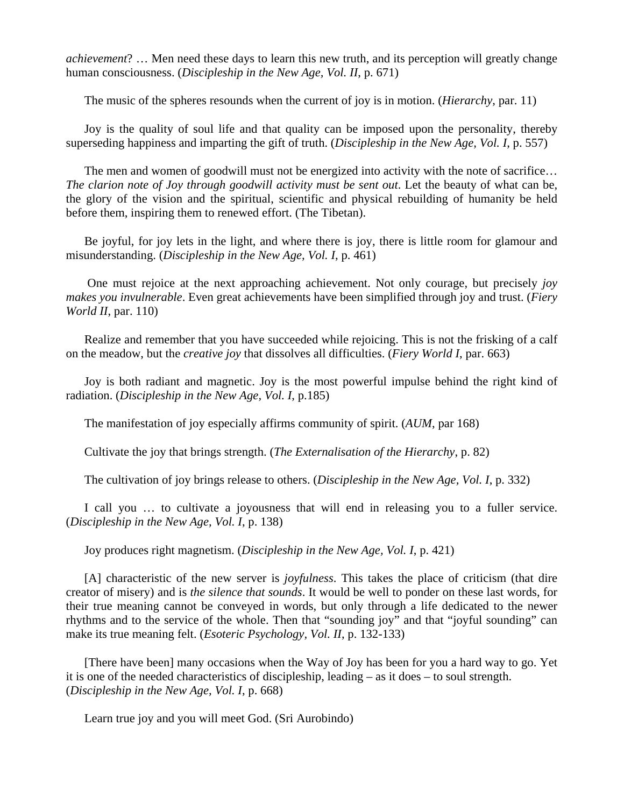*achievement*? … Men need these days to learn this new truth, and its perception will greatly change human consciousness. (*Discipleship in the New Age, Vol. II*, p. 671)

The music of the spheres resounds when the current of joy is in motion. (*Hierarchy*, par. 11)

 Joy is the quality of soul life and that quality can be imposed upon the personality, thereby superseding happiness and imparting the gift of truth. (*Discipleship in the New Age, Vol. I*, p. 557)

The men and women of goodwill must not be energized into activity with the note of sacrifice... *The clarion note of Joy through goodwill activity must be sent out*. Let the beauty of what can be, the glory of the vision and the spiritual, scientific and physical rebuilding of humanity be held before them, inspiring them to renewed effort. (The Tibetan).

 Be joyful, for joy lets in the light, and where there is joy, there is little room for glamour and misunderstanding. (*Discipleship in the New Age, Vol. I*, p. 461)

 One must rejoice at the next approaching achievement. Not only courage, but precisely *joy makes you invulnerable*. Even great achievements have been simplified through joy and trust. (*Fiery World II*, par. 110)

 Realize and remember that you have succeeded while rejoicing. This is not the frisking of a calf on the meadow, but the *creative joy* that dissolves all difficulties. (*Fiery World I*, par. 663)

 Joy is both radiant and magnetic. Joy is the most powerful impulse behind the right kind of radiation. (*Discipleship in the New Age, Vol. I*, p.185)

The manifestation of joy especially affirms community of spirit. (*AUM*, par 168)

Cultivate the joy that brings strength. (*The Externalisation of the Hierarchy*, p. 82)

The cultivation of joy brings release to others. (*Discipleship in the New Age, Vol. I*, p. 332)

 I call you … to cultivate a joyousness that will end in releasing you to a fuller service. (*Discipleship in the New Age, Vol. I*, p. 138)

Joy produces right magnetism. (*Discipleship in the New Age, Vol. I*, p. 421)

 [A] characteristic of the new server is *joyfulness*. This takes the place of criticism (that dire creator of misery) and is *the silence that sounds*. It would be well to ponder on these last words, for their true meaning cannot be conveyed in words, but only through a life dedicated to the newer rhythms and to the service of the whole. Then that "sounding joy" and that "joyful sounding" can make its true meaning felt. (*Esoteric Psychology, Vol. II*, p. 132-133)

 [There have been] many occasions when the Way of Joy has been for you a hard way to go. Yet it is one of the needed characteristics of discipleship, leading – as it does – to soul strength. (*Discipleship in the New Age, Vol. I*, p. 668)

Learn true joy and you will meet God. (Sri Aurobindo)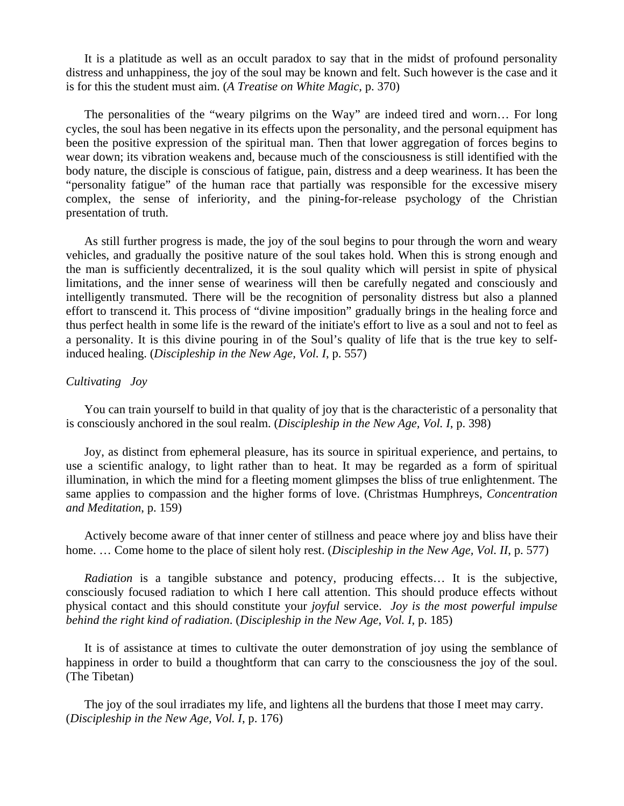It is a platitude as well as an occult paradox to say that in the midst of profound personality distress and unhappiness, the joy of the soul may be known and felt. Such however is the case and it is for this the student must aim. (*A Treatise on White Magic*, p. 370)

 The personalities of the "weary pilgrims on the Way" are indeed tired and worn… For long cycles, the soul has been negative in its effects upon the personality, and the personal equipment has been the positive expression of the spiritual man. Then that lower aggregation of forces begins to wear down; its vibration weakens and, because much of the consciousness is still identified with the body nature, the disciple is conscious of fatigue, pain, distress and a deep weariness. It has been the "personality fatigue" of the human race that partially was responsible for the excessive misery complex, the sense of inferiority, and the pining-for-release psychology of the Christian presentation of truth.

 As still further progress is made, the joy of the soul begins to pour through the worn and weary vehicles, and gradually the positive nature of the soul takes hold. When this is strong enough and the man is sufficiently decentralized, it is the soul quality which will persist in spite of physical limitations, and the inner sense of weariness will then be carefully negated and consciously and intelligently transmuted. There will be the recognition of personality distress but also a planned effort to transcend it. This process of "divine imposition" gradually brings in the healing force and thus perfect health in some life is the reward of the initiate's effort to live as a soul and not to feel as a personality. It is this divine pouring in of the Soul's quality of life that is the true key to selfinduced healing. (*Discipleship in the New Age, Vol. I*, p. 557)

## *Cultivating Joy*

 You can train yourself to build in that quality of joy that is the characteristic of a personality that is consciously anchored in the soul realm. (*Discipleship in the New Age, Vol. I*, p. 398)

 Joy, as distinct from ephemeral pleasure, has its source in spiritual experience, and pertains, to use a scientific analogy, to light rather than to heat. It may be regarded as a form of spiritual illumination, in which the mind for a fleeting moment glimpses the bliss of true enlightenment. The same applies to compassion and the higher forms of love. (Christmas Humphreys, *Concentration and Meditation*, p. 159)

 Actively become aware of that inner center of stillness and peace where joy and bliss have their home. … Come home to the place of silent holy rest. (*Discipleship in the New Age, Vol. II*, p. 577)

 *Radiation* is a tangible substance and potency, producing effects… It is the subjective, consciously focused radiation to which I here call attention. This should produce effects without physical contact and this should constitute your *joyful* service. *Joy is the most powerful impulse behind the right kind of radiation*. (*Discipleship in the New Age, Vol. I*, p. 185)

 It is of assistance at times to cultivate the outer demonstration of joy using the semblance of happiness in order to build a thoughtform that can carry to the consciousness the joy of the soul. (The Tibetan)

 The joy of the soul irradiates my life, and lightens all the burdens that those I meet may carry. (*Discipleship in the New Age, Vol. I*, p. 176)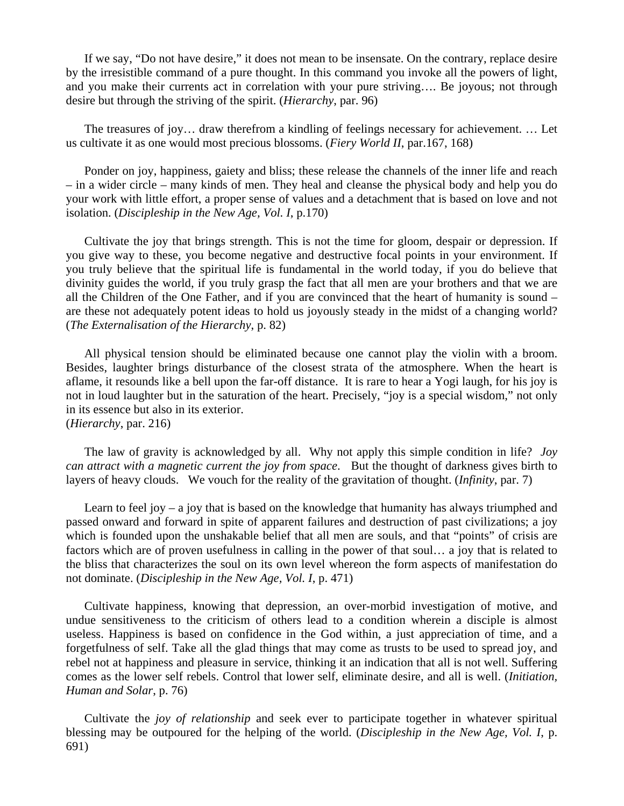If we say, "Do not have desire," it does not mean to be insensate. On the contrary, replace desire by the irresistible command of a pure thought. In this command you invoke all the powers of light, and you make their currents act in correlation with your pure striving…. Be joyous; not through desire but through the striving of the spirit. (*Hierarchy*, par. 96)

 The treasures of joy… draw therefrom a kindling of feelings necessary for achievement. … Let us cultivate it as one would most precious blossoms. (*Fiery World II*, par.167, 168)

 Ponder on joy, happiness, gaiety and bliss; these release the channels of the inner life and reach – in a wider circle – many kinds of men. They heal and cleanse the physical body and help you do your work with little effort, a proper sense of values and a detachment that is based on love and not isolation. (*Discipleship in the New Age, Vol. I*, p.170)

 Cultivate the joy that brings strength. This is not the time for gloom, despair or depression. If you give way to these, you become negative and destructive focal points in your environment. If you truly believe that the spiritual life is fundamental in the world today, if you do believe that divinity guides the world, if you truly grasp the fact that all men are your brothers and that we are all the Children of the One Father, and if you are convinced that the heart of humanity is sound – are these not adequately potent ideas to hold us joyously steady in the midst of a changing world? (*The Externalisation of the Hierarchy*, p. 82)

 All physical tension should be eliminated because one cannot play the violin with a broom. Besides, laughter brings disturbance of the closest strata of the atmosphere. When the heart is aflame, it resounds like a bell upon the far-off distance. It is rare to hear a Yogi laugh, for his joy is not in loud laughter but in the saturation of the heart. Precisely, "joy is a special wisdom," not only in its essence but also in its exterior. (*Hierarchy*, par. 216)

 The law of gravity is acknowledged by all. Why not apply this simple condition in life? *Joy can attract with a magnetic current the joy from space*. But the thought of darkness gives birth to layers of heavy clouds. We vouch for the reality of the gravitation of thought. (*Infinity*, par. 7)

 Learn to feel joy – a joy that is based on the knowledge that humanity has always triumphed and passed onward and forward in spite of apparent failures and destruction of past civilizations; a joy which is founded upon the unshakable belief that all men are souls, and that "points" of crisis are factors which are of proven usefulness in calling in the power of that soul… a joy that is related to the bliss that characterizes the soul on its own level whereon the form aspects of manifestation do not dominate. (*Discipleship in the New Age, Vol. I*, p. 471)

 Cultivate happiness, knowing that depression, an over-morbid investigation of motive, and undue sensitiveness to the criticism of others lead to a condition wherein a disciple is almost useless. Happiness is based on confidence in the God within, a just appreciation of time, and a forgetfulness of self. Take all the glad things that may come as trusts to be used to spread joy, and rebel not at happiness and pleasure in service, thinking it an indication that all is not well. Suffering comes as the lower self rebels. Control that lower self, eliminate desire, and all is well. (*Initiation, Human and Solar*, p. 76)

 Cultivate the *joy of relationship* and seek ever to participate together in whatever spiritual blessing may be outpoured for the helping of the world. (*Discipleship in the New Age, Vol. I*, p. 691)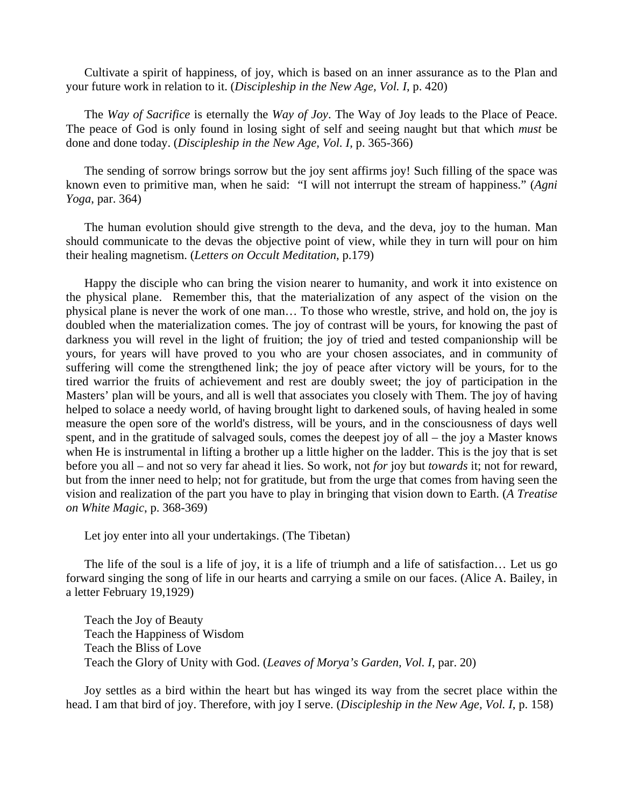Cultivate a spirit of happiness, of joy, which is based on an inner assurance as to the Plan and your future work in relation to it. (*Discipleship in the New Age, Vol. I*, p. 420)

 The *Way of Sacrifice* is eternally the *Way of Joy*. The Way of Joy leads to the Place of Peace. The peace of God is only found in losing sight of self and seeing naught but that which *must* be done and done today. (*Discipleship in the New Age, Vol. I*, p. 365-366)

 The sending of sorrow brings sorrow but the joy sent affirms joy! Such filling of the space was known even to primitive man, when he said: "I will not interrupt the stream of happiness." (*Agni Yoga*, par. 364)

 The human evolution should give strength to the deva, and the deva, joy to the human. Man should communicate to the devas the objective point of view, while they in turn will pour on him their healing magnetism. (*Letters on Occult Meditation*, p.179)

 Happy the disciple who can bring the vision nearer to humanity, and work it into existence on the physical plane. Remember this, that the materialization of any aspect of the vision on the physical plane is never the work of one man… To those who wrestle, strive, and hold on, the joy is doubled when the materialization comes. The joy of contrast will be yours, for knowing the past of darkness you will revel in the light of fruition; the joy of tried and tested companionship will be yours, for years will have proved to you who are your chosen associates, and in community of suffering will come the strengthened link; the joy of peace after victory will be yours, for to the tired warrior the fruits of achievement and rest are doubly sweet; the joy of participation in the Masters' plan will be yours, and all is well that associates you closely with Them. The joy of having helped to solace a needy world, of having brought light to darkened souls, of having healed in some measure the open sore of the world's distress, will be yours, and in the consciousness of days well spent, and in the gratitude of salvaged souls, comes the deepest joy of all – the joy a Master knows when He is instrumental in lifting a brother up a little higher on the ladder. This is the joy that is set before you all – and not so very far ahead it lies. So work, not *for* joy but *towards* it; not for reward, but from the inner need to help; not for gratitude, but from the urge that comes from having seen the vision and realization of the part you have to play in bringing that vision down to Earth. (*A Treatise on White Magic*, p. 368-369)

Let joy enter into all your undertakings. (The Tibetan)

 The life of the soul is a life of joy, it is a life of triumph and a life of satisfaction… Let us go forward singing the song of life in our hearts and carrying a smile on our faces. (Alice A. Bailey, in a letter February 19,1929)

 Teach the Joy of Beauty Teach the Happiness of Wisdom Teach the Bliss of Love Teach the Glory of Unity with God. (*Leaves of Morya's Garden, Vol. I*, par. 20)

 Joy settles as a bird within the heart but has winged its way from the secret place within the head. I am that bird of joy. Therefore, with joy I serve. (*Discipleship in the New Age, Vol. I*, p. 158)